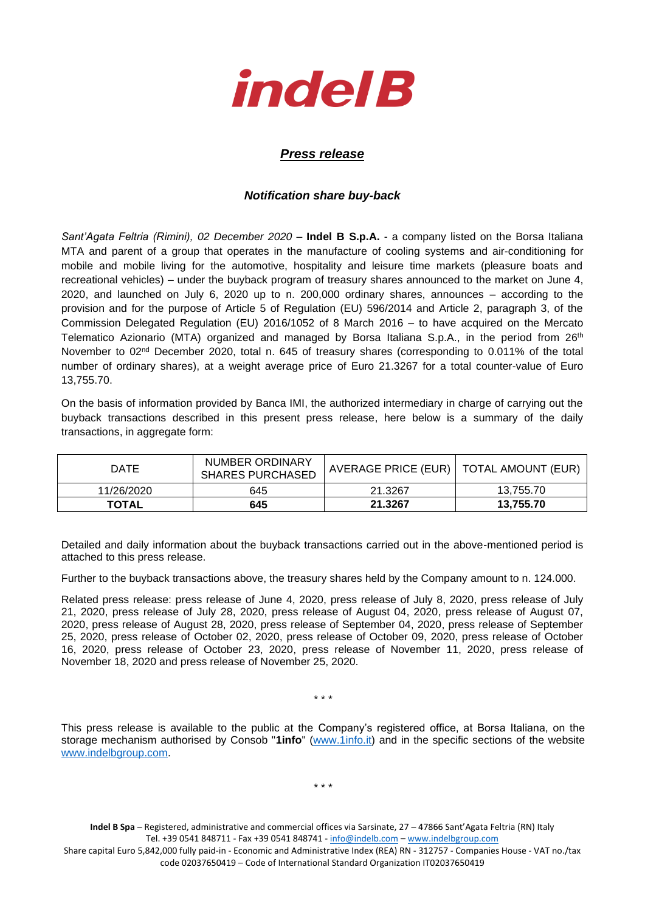

## *Press release*

## *Notification share buy-back*

*Sant'Agata Feltria (Rimini), 02 December 2020* – **Indel B S.p.A.** - a company listed on the Borsa Italiana MTA and parent of a group that operates in the manufacture of cooling systems and air-conditioning for mobile and mobile living for the automotive, hospitality and leisure time markets (pleasure boats and recreational vehicles) – under the buyback program of treasury shares announced to the market on June 4, 2020, and launched on July 6, 2020 up to n. 200,000 ordinary shares, announces – according to the provision and for the purpose of Article 5 of Regulation (EU) 596/2014 and Article 2, paragraph 3, of the Commission Delegated Regulation (EU) 2016/1052 of 8 March 2016 – to have acquired on the Mercato Telematico Azionario (MTA) organized and managed by Borsa Italiana S.p.A., in the period from 26<sup>th</sup> November to 02<sup>nd</sup> December 2020, total n. 645 of treasury shares (corresponding to 0.011% of the total number of ordinary shares), at a weight average price of Euro 21.3267 for a total counter-value of Euro 13,755.70.

On the basis of information provided by Banca IMI, the authorized intermediary in charge of carrying out the buyback transactions described in this present press release, here below is a summary of the daily transactions, in aggregate form:

| <b>DATE</b>  | NUMBER ORDINARY<br><b>SHARES PURCHASED</b> | AVERAGE PRICE (EUR)   TOTAL AMOUNT (EUR) |           |
|--------------|--------------------------------------------|------------------------------------------|-----------|
| 11/26/2020   | 645                                        | 21.3267                                  | 13.755.70 |
| <b>TOTAL</b> | 645                                        | 21.3267                                  | 13.755.70 |

Detailed and daily information about the buyback transactions carried out in the above-mentioned period is attached to this press release.

Further to the buyback transactions above, the treasury shares held by the Company amount to n. 124.000.

Related press release: press release of June 4, 2020, press release of July 8, 2020, press release of July 21, 2020, press release of July 28, 2020, press release of August 04, 2020, press release of August 07, 2020, press release of August 28, 2020, press release of September 04, 2020, press release of September 25, 2020, press release of October 02, 2020, press release of October 09, 2020, press release of October 16, 2020, press release of October 23, 2020, press release of November 11, 2020, press release of November 18, 2020 and press release of November 25, 2020.

\* \* \*

This press release is available to the public at the Company's registered office, at Borsa Italiana, on the storage mechanism authorised by Consob "**1info**" [\(www.1info.it\)](file:///C:/Users/ddelietovollaro/AppData/Local/Microsoft/Windows/INetCache/Content.Outlook/T87B94UR/www.1info.it) and in the specific sections of the website [www.indelbgroup.com.](http://www.indelbgroup.com/)

\* \* \*

**Indel B Spa** – Registered, administrative and commercial offices via Sarsinate, 27 – 47866 Sant'Agata Feltria (RN) Italy Tel. +39 0541 848711 - Fax +39 0541 848741 - [info@indelb.com](mailto:info@indelb.com) – [www.indelbgroup.com](http://www.indelbgroup.com/)

Share capital Euro 5,842,000 fully paid-in - Economic and Administrative Index (REA) RN - 312757 - Companies House - VAT no./tax code 02037650419 – Code of International Standard Organization IT02037650419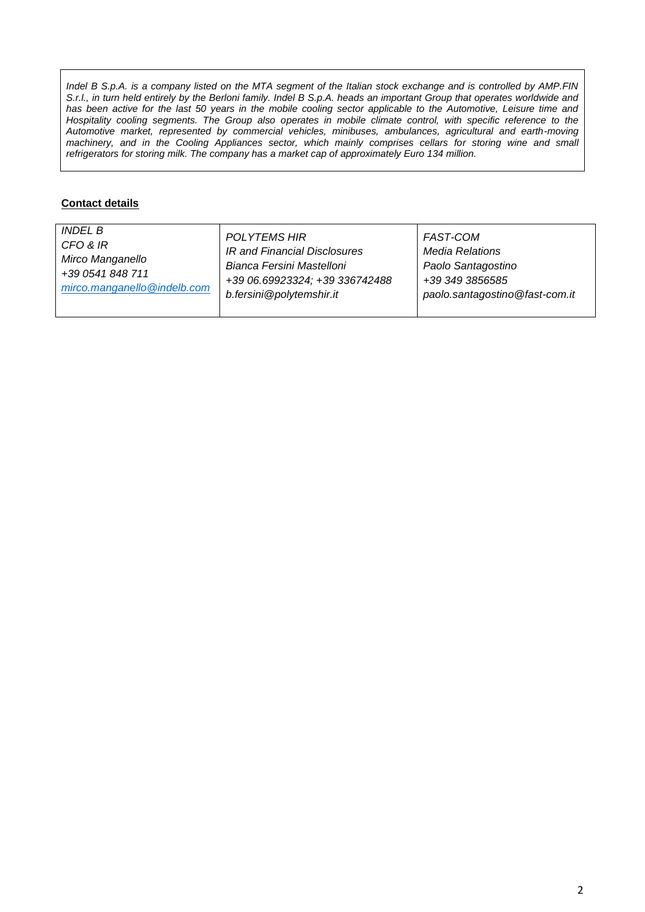*Indel B S.p.A. is a company listed on the MTA segment of the Italian stock exchange and is controlled by AMP.FIN S.r.l., in turn held entirely by the Berloni family. Indel B S.p.A. heads an important Group that operates worldwide and* has been active for the last 50 years in the mobile cooling sector applicable to the Automotive, Leisure time and Hospitality cooling segments. The Group also operates in mobile climate control, with specific reference to the *Automotive market, represented by commercial vehicles, minibuses, ambulances, agricultural and earth-moving machinery, and in the Cooling Appliances sector, which mainly comprises cellars for storing wine and small refrigerators for storing milk. The company has a market cap of approximately Euro 134 million.*

## **Contact details**

| <i>INDEL B</i>              | POLYTEMS HIR                   | FAST-COM                       |
|-----------------------------|--------------------------------|--------------------------------|
| CFO & IR                    | IR and Financial Disclosures   | Media Relations                |
| Mirco Manganello            | Bianca Fersini Mastelloni      | Paolo Santagostino             |
| +39 0541 848 711            | +39 06.69923324; +39 336742488 | +39 349 3856585                |
| mirco.manganello@indelb.com | b.fersini@polytemshir.it       | paolo.santagostino@fast-com.it |